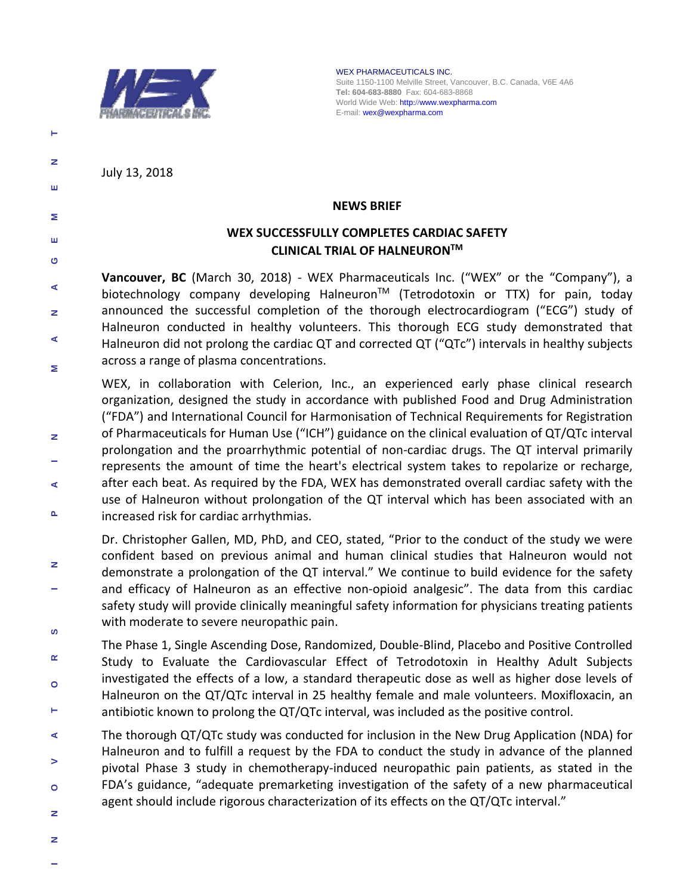

WEX PHARMACEUTICALS INC. Suite 1150-1100 Melville Street, Vancouver, B.C. Canada, V6E 4A6 **Tel: 604-683-8880** Fax: 604-683-8868 World Wide Web: http://www.wexpharma.com E-mail: wex@wexpharma.com

July 13, 2018

۳

z

ш

Σ

ш  $\bullet$ 

z

¢

 $\mathbf{a}$ 

#### **NEWS BRIEF**

## **WEX SUCCESSFULLY COMPLETES CARDIAC SAFETY CLINICAL TRIAL OF HALNEURONTM**

**Vancouver, BC** (March 30, 2018) ‐ WEX Pharmaceuticals Inc. ("WEX" or the "Company"), a ¢ biotechnology company developing Halneuron<sup>™</sup> (Tetrodotoxin or TTX) for pain, today announced the successful completion of the thorough electrocardiogram ("ECG") study of z Halneuron conducted in healthy volunteers. This thorough ECG study demonstrated that ∢ Halneuron did not prolong the cardiac QT and corrected QT ("QTc") intervals in healthy subjects across a range of plasma concentrations. Σ

WEX, in collaboration with Celerion, Inc., an experienced early phase clinical research organization, designed the study in accordance with published Food and Drug Administration ("FDA") and International Council for Harmonisation of Technical Requirements for Registration of Pharmaceuticals for Human Use ("ICH") guidance on the clinical evaluation of QT/QTc interval prolongation and the proarrhythmic potential of non ‐cardiac drugs. The QT interval primarily represents the amount of time the heart's electrical system takes to repolarize or recharge, after each beat. As required by the FDA, WEX has demonstrated overall cardiac safety with the use of Halneuron without prolongation of the QT interval which has been associated with an increased risk for cardiac arrhythmias.

Dr. Christopher Gallen, MD, PhD, and CEO, stated, "Prior to the conduct of the study we were confident based on previous animal and human clinical studies that Halneuron would not  $\mathbf{z}$ demonstrate a prolongation of the QT interval." We continue to build evidence for the safety and efficacy of Halneuron as an effective non-opioid analgesic". The data from this cardiac safety study will provide clinically meaningful safety information for physicians treating patients with moderate to severe neuropathic pain. ဖာ

- The Phase 1, Single Ascending Dose, Randomized, Double ‐Blind, Placebo and Positive Controlled  $\alpha$ Study to Evaluate the Cardiovascular Effect of Tetrodotoxin in Healthy Adult Subjects investigated the effects of a low, a standard therapeutic dose as well as higher dose levels of Ō Halneuron on the QT/QTc interval in 25 healthy female and male volunteers. Moxifloxacin, an Н antibiotic known to prolong the QT/QTc interval, was included as the positive control.
- **I N N O V A N A W A W A W A W A W A N O N A N O N N** The thorough QT/QTc study was conducted for inclusion in the New Drug Application (NDA) for ⋖ Halneuron and to fulfill a request by the FDA to conduct the study in advance of the planned  $\geq$ pivotal Phase 3 study in chemotherapy-induced neuropathic pain patients, as stated in the FDA's guidance, "adequate premarketing investigation of the safety of a new pharmaceutical  $\bullet$ agent should include rigorous characterization of its effects on the QT/QTc interval."
- z
- z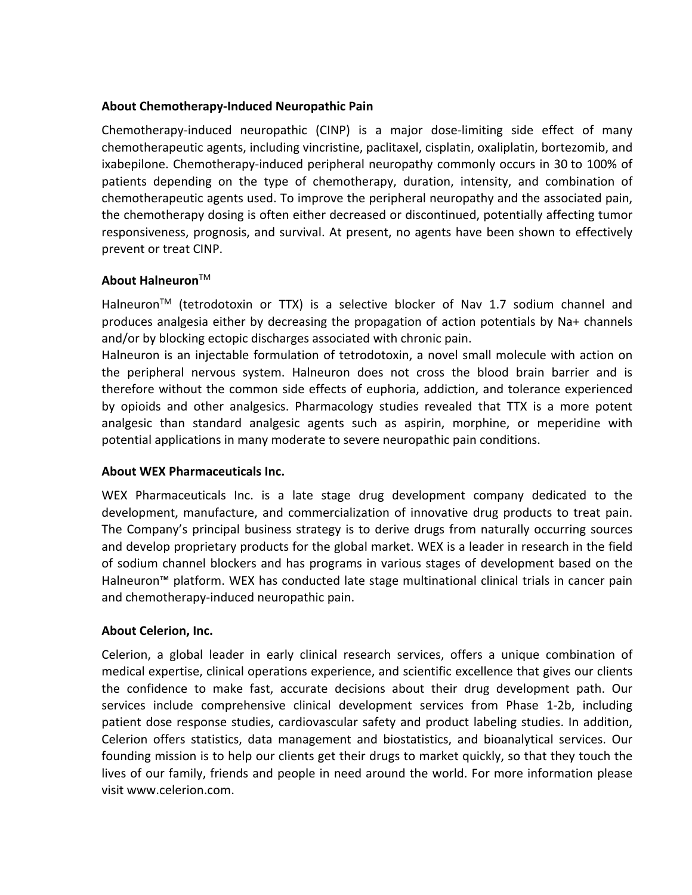### **About Chemotherapy‐Induced Neuropathic Pain**

Chemotherapy‐induced neuropathic (CINP) is a major dose‐limiting side effect of many chemotherapeutic agents, including vincristine, paclitaxel, cisplatin, oxaliplatin, bortezomib, and ixabepilone. Chemotherapy‐induced peripheral neuropathy commonly occurs in 30 to 100% of patients depending on the type of chemotherapy, duration, intensity, and combination of chemotherapeutic agents used. To improve the peripheral neuropathy and the associated pain, the chemotherapy dosing is often either decreased or discontinued, potentially affecting tumor responsiveness, prognosis, and survival. At present, no agents have been shown to effectively prevent or treat CINP.

# **About Halneuron**TM

Halneuron<sup>™</sup> (tetrodotoxin or TTX) is a selective blocker of Nav 1.7 sodium channel and produces analgesia either by decreasing the propagation of action potentials by Na+ channels and/or by blocking ectopic discharges associated with chronic pain.

Halneuron is an injectable formulation of tetrodotoxin, a novel small molecule with action on the peripheral nervous system. Halneuron does not cross the blood brain barrier and is therefore without the common side effects of euphoria, addiction, and tolerance experienced by opioids and other analgesics. Pharmacology studies revealed that TTX is a more potent analgesic than standard analgesic agents such as aspirin, morphine, or meperidine with potential applications in many moderate to severe neuropathic pain conditions.

#### **About WEX Pharmaceuticals Inc.**

WEX Pharmaceuticals Inc. is a late stage drug development company dedicated to the development, manufacture, and commercialization of innovative drug products to treat pain. The Company's principal business strategy is to derive drugs from naturally occurring sources and develop proprietary products for the global market. WEX is a leader in research in the field of sodium channel blockers and has programs in various stages of development based on the Halneuron™ platform. WEX has conducted late stage multinational clinical trials in cancer pain and chemotherapy‐induced neuropathic pain.

# **About Celerion, Inc.**

Celerion, a global leader in early clinical research services, offers a unique combination of medical expertise, clinical operations experience, and scientific excellence that gives our clients the confidence to make fast, accurate decisions about their drug development path. Our services include comprehensive clinical development services from Phase 1‐2b, including patient dose response studies, cardiovascular safety and product labeling studies. In addition, Celerion offers statistics, data management and biostatistics, and bioanalytical services. Our founding mission is to help our clients get their drugs to market quickly, so that they touch the lives of our family, friends and people in need around the world. For more information please visit www.celerion.com.